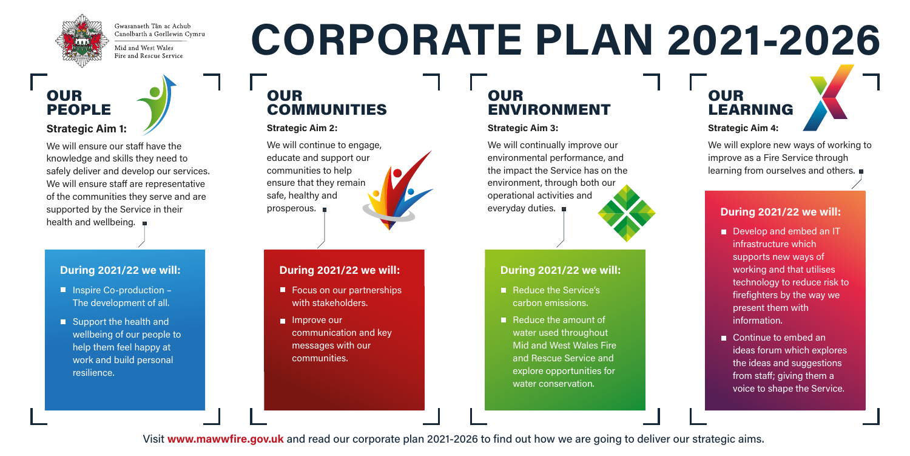

Gwasanaeth Tân ac Achub Canolbarth a Gorllewin Cymru

Mid and West Wales Fire and Rescue Service

#### OUR PEOPLE **Strategic Aim 1:**

We will ensure our staff have the knowledge and skills they need to safely deliver and develop our services. We will ensure staff are representative of the communities they serve and are supported by the Service in their health and wellbeing.

#### OUR COMMUNITIES

#### **Strategic Aim 2:**

We will continue to engage, educate and support our communities to help ensure that they remain safe, healthy and prosperous.



- Inspire Co-production The development of all.
- Support the health and wellbeing of our people to help them feel happy at work and build personal resilience.

# **CORPORATE PLAN 2021-2026**

#### OUR ENVIRONMENT

#### **Strategic Aim 3:**

We will continually improve our environmental performance, and the impact the Service has on the environment, through both our operational activities and everyday duties.



- Focus on our partnerships with stakeholders.
- **Improve our** communication and key messages with our communities.
- Reduce the Service's carbon emissions.
- Reduce the amount of water used throughout Mid and West Wales Fire and Rescue Service and explore opportunities for water conservation.

Visit www.mawwfire.gov.uk and read our corporate plan 2021-2026 to find out how we are going to deliver our strategic aims.

## OUR LEARNING **Strategic Aim 4:**

We will explore new ways of working to improve as a Fire Service through learning from ourselves and others.

- Develop and embed an IT infrastructure which supports new ways of working and that utilises technology to reduce risk to firefighters by the way we present them with information.
- Continue to embed an ideas forum which explores the ideas and suggestions from staff: giving them a voice to shape the Service.

#### **During 2021/22 we will:**

#### **During 2021/22 we will:**

#### **During 2021/22 we will:**

#### **During 2021/22 we will:**